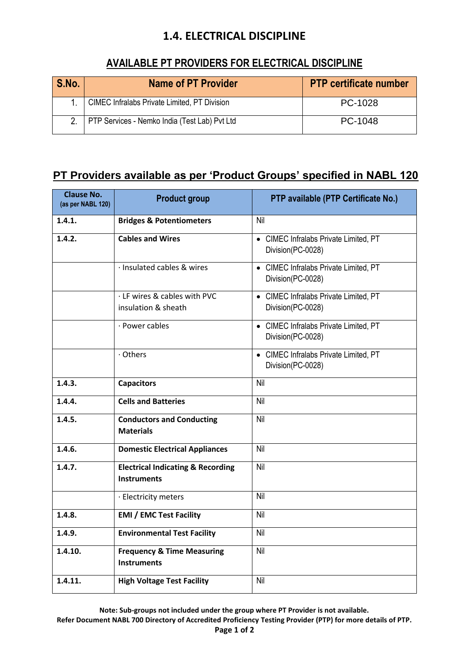## **1.4. ELECTRICAL DISCIPLINE**

## **AVAILABLE PT PROVIDERS FOR ELECTRICAL DISCIPLINE**

| S.No. | <b>Name of PT Provider</b>                    | <b>PTP certificate number</b> |
|-------|-----------------------------------------------|-------------------------------|
|       | CIMEC Infralabs Private Limited, PT Division  | PC-1028                       |
|       | PTP Services - Nemko India (Test Lab) Pvt Ltd | PC-1048                       |

## **PT Providers available as per 'Product Groups' specified in NABL 120**

| <b>Clause No.</b><br>(as per NABL 120) | <b>Product group</b>                                               | PTP available (PTP Certificate No.)                        |
|----------------------------------------|--------------------------------------------------------------------|------------------------------------------------------------|
| 1.4.1.                                 | <b>Bridges &amp; Potentiometers</b>                                | Nil                                                        |
| 1.4.2.                                 | <b>Cables and Wires</b>                                            | • CIMEC Infralabs Private Limited, PT<br>Division(PC-0028) |
|                                        | · Insulated cables & wires                                         | • CIMEC Infralabs Private Limited, PT<br>Division(PC-0028) |
|                                        | · LF wires & cables with PVC<br>insulation & sheath                | • CIMEC Infralabs Private Limited, PT<br>Division(PC-0028) |
|                                        | · Power cables                                                     | • CIMEC Infralabs Private Limited, PT<br>Division(PC-0028) |
|                                        | · Others                                                           | • CIMEC Infralabs Private Limited, PT<br>Division(PC-0028) |
| 1.4.3.                                 | <b>Capacitors</b>                                                  | Nil                                                        |
| 1.4.4.                                 | <b>Cells and Batteries</b>                                         | Nil                                                        |
| 1.4.5.                                 | <b>Conductors and Conducting</b><br><b>Materials</b>               | Nil                                                        |
| 1.4.6.                                 | <b>Domestic Electrical Appliances</b>                              | Nil                                                        |
| 1.4.7.                                 | <b>Electrical Indicating &amp; Recording</b><br><b>Instruments</b> | Nil                                                        |
|                                        | · Electricity meters                                               | Nil                                                        |
| 1.4.8.                                 | <b>EMI / EMC Test Facility</b>                                     | Nil                                                        |
| 1.4.9.                                 | <b>Environmental Test Facility</b>                                 | Nil                                                        |
| 1.4.10.                                | <b>Frequency &amp; Time Measuring</b><br><b>Instruments</b>        | Nil                                                        |
| 1.4.11.                                | <b>High Voltage Test Facility</b>                                  | Nil                                                        |

**Note: Sub-groups not included under the group where PT Provider is not available.**

**Refer Document NABL 700 Directory of Accredited Proficiency Testing Provider (PTP) for more details of PTP.**